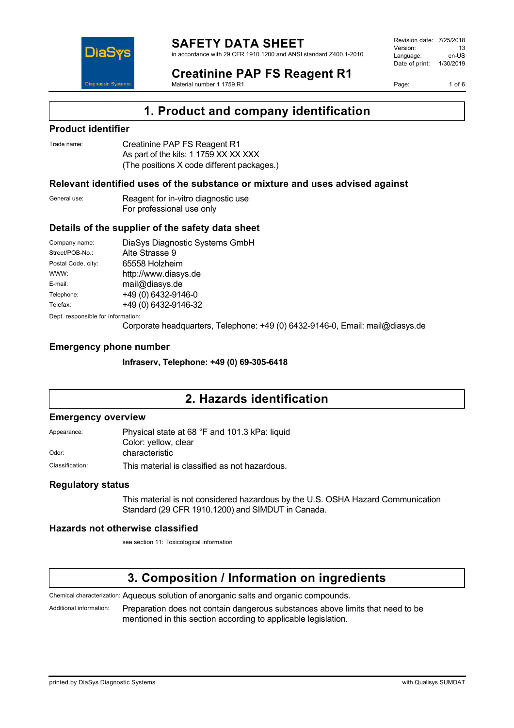

in accordance with 29 CFR 1910.1200 and ANSI standard Z400.1-2010

Revision date: 7/25/2018 Version: 13<br>Language: en-LIS Language: Date of print: 1/30/2019

Page: 1 of 6



#### **Creatinine PAP FS Reagent R1** Material number 1 1759 R1

**1. Product and company identification**

### **Product identifier**

| Trade name: | Creatinine PAP FS Reagent R1               |
|-------------|--------------------------------------------|
|             | As part of the kits: 1 1759 XX XX XXX      |
|             | (The positions X code different packages.) |

### **Relevant identified uses of the substance or mixture and uses advised against**

General use: Reagent for in-vitro diagnostic use For professional use only

### **Details of the supplier of the safety data sheet**

| Company name:                      | DiaSys Diagnostic Systems GmbH |  |
|------------------------------------|--------------------------------|--|
| Street/POB-No.:                    | Alte Strasse 9                 |  |
| Postal Code, city:                 | 65558 Holzheim                 |  |
| WWW:                               | http://www.diasys.de           |  |
| E-mail:                            | mail@diasys.de                 |  |
| Telephone:                         | +49 (0) 6432-9146-0            |  |
| Telefax:                           | +49 (0) 6432-9146-32           |  |
| Dept. responsible for information: |                                |  |

Corporate headquarters, Telephone: +49 (0) 6432-9146-0, Email: mail@diasys.de

### **Emergency phone number**

**Infraserv, Telephone: +49 (0) 69-305-6418**

## **2. Hazards identification**

#### **Emergency overview**

| Appearance: | Physical state at 68 °F and 101.3 kPa: liquid |
|-------------|-----------------------------------------------|
|             | Color: yellow, clear                          |
| Odor:       | characteristic                                |
|             |                                               |

Classification: This material is classified as not hazardous.

### **Regulatory status**

This material is not considered hazardous by the U.S. OSHA Hazard Communication Standard (29 CFR 1910.1200) and SIMDUT in Canada.

### **Hazards not otherwise classified**

see section 11: Toxicological information

## **3. Composition / Information on ingredients**

Chemical characterization: Aqueous solution of anorganic salts and organic compounds.

Additional information: Preparation does not contain dangerous substances above limits that need to be mentioned in this section according to applicable legislation.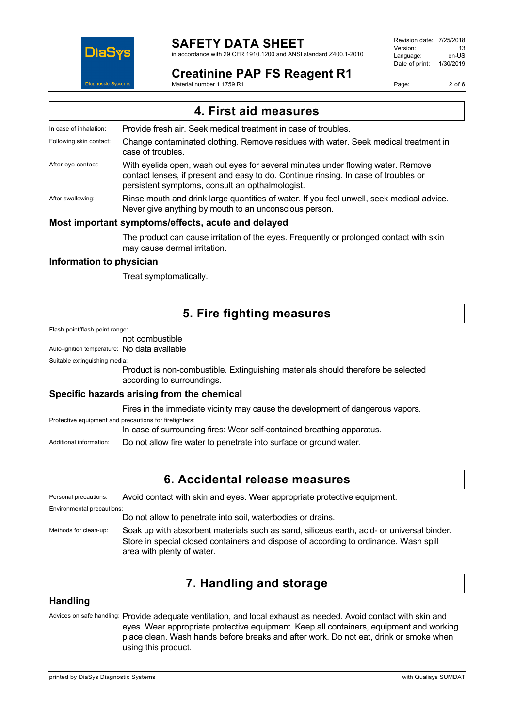

### **SAFETY DATA SHEET**

in accordance with 29 CFR 1910.1200 and ANSI standard Z400.1-2010

### **Creatinine PAP FS Reagent R1**

Material number 1 1759 R1

Revision date: 7/25/2018 Version: 13<br>Language: en-LIS Language: Date of print: 1/30/2019

Page: 2 of 6

| 4. First aid measures   |                                                                                                                                                                                                                            |
|-------------------------|----------------------------------------------------------------------------------------------------------------------------------------------------------------------------------------------------------------------------|
| In case of inhalation:  | Provide fresh air. Seek medical treatment in case of troubles.                                                                                                                                                             |
| Following skin contact: | Change contaminated clothing. Remove residues with water. Seek medical treatment in<br>case of troubles.                                                                                                                   |
| After eye contact:      | With eyelids open, wash out eyes for several minutes under flowing water. Remove<br>contact lenses, if present and easy to do. Continue rinsing. In case of troubles or<br>persistent symptoms, consult an opthalmologist. |
| After swallowing:       | Rinse mouth and drink large quantities of water. If you feel unwell, seek medical advice.<br>Never give anything by mouth to an unconscious person.                                                                        |
|                         | Most important symptoms/effects, acute and delayed                                                                                                                                                                         |
|                         | The product can cause irritation of the eyes. Frequently or prolonged contact with skin<br>may cause dermal irritation.                                                                                                    |

**Information to physician**

Treat symptomatically.

### **5. Fire fighting measures**

Flash point/flash point range:

### not combustible

Auto-ignition temperature: No data available

Suitable extinguishing media:

Product is non-combustible. Extinguishing materials should therefore be selected according to surroundings.

### **Specific hazards arising from the chemical**

Fires in the immediate vicinity may cause the development of dangerous vapors.

Protective equipment and precautions for firefighters: In case of surrounding fires: Wear self-contained breathing apparatus.

Additional information: Do not allow fire water to penetrate into surface or ground water.

### **6. Accidental release measures**

Personal precautions: Avoid contact with skin and eyes. Wear appropriate protective equipment.

Environmental precautions:

Do not allow to penetrate into soil, waterbodies or drains.

Methods for clean-up: Soak up with absorbent materials such as sand, siliceus earth, acid- or universal binder. Store in special closed containers and dispose of according to ordinance. Wash spill area with plenty of water.

## **7. Handling and storage**

#### **Handling**

Advices on safe handling: Provide adequate ventilation, and local exhaust as needed. Avoid contact with skin and eyes. Wear appropriate protective equipment. Keep all containers, equipment and working place clean. Wash hands before breaks and after work. Do not eat, drink or smoke when using this product.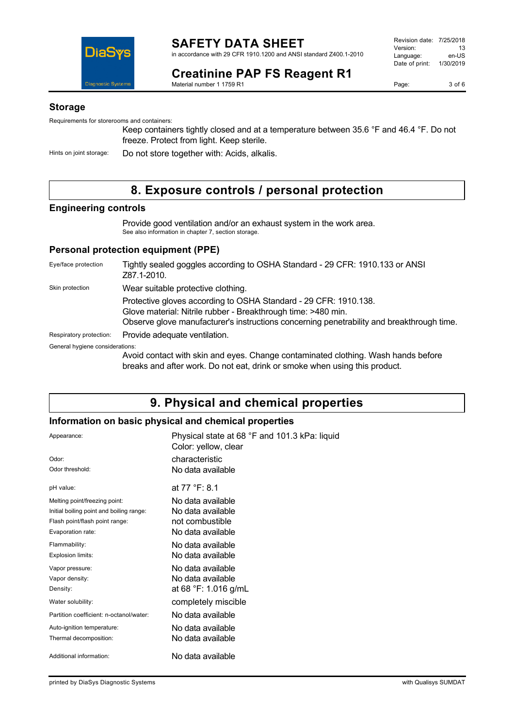

**Creatinine PAP FS Reagent R1** Material number 1 1759 R1

#### **Storage**

Requirements for storerooms and containers:

Keep containers tightly closed and at a temperature between 35.6 °F and 46.4 °F. Do not freeze. Protect from light. Keep sterile.

Hints on joint storage: Do not store together with: Acids, alkalis.

## **8. Exposure controls / personal protection**

### **Engineering controls**

Provide good ventilation and/or an exhaust system in the work area. See also information in chapter 7, section storage.

### **Personal protection equipment (PPE)**

| Eye/face protection             | Tightly sealed goggles according to OSHA Standard - 29 CFR: 1910.133 or ANSI<br>Z87.1-2010.                                                                                                                                    |
|---------------------------------|--------------------------------------------------------------------------------------------------------------------------------------------------------------------------------------------------------------------------------|
| Skin protection                 | Wear suitable protective clothing.                                                                                                                                                                                             |
|                                 | Protective gloves according to OSHA Standard - 29 CFR: 1910.138.<br>Glove material: Nitrile rubber - Breakthrough time: >480 min.<br>Observe glove manufacturer's instructions concerning penetrability and breakthrough time. |
| Respiratory protection:         | Provide adequate ventilation.                                                                                                                                                                                                  |
| General hygiene considerations: |                                                                                                                                                                                                                                |
|                                 | Avoid contact with skin and eyes. Change contaminated clothing. Wash hands before<br>breaks and after work. Do not eat, drink or smoke when using this product.                                                                |

### **9. Physical and chemical properties**

### **Information on basic physical and chemical properties**

| Appearance:<br>Odor:<br>Odor threshold:                                                                                          | Physical state at 68 °F and 101.3 kPa: liquid<br>Color: yellow, clear<br>characteristic<br>No data available |
|----------------------------------------------------------------------------------------------------------------------------------|--------------------------------------------------------------------------------------------------------------|
| pH value:                                                                                                                        | at 77 °F: 8.1                                                                                                |
| Melting point/freezing point:<br>Initial boiling point and boiling range:<br>Flash point/flash point range:<br>Evaporation rate: | No data available<br>No data available<br>not combustible<br>No data available                               |
| Flammability:<br>Explosion limits:                                                                                               | No data available<br>No data available                                                                       |
| Vapor pressure:<br>Vapor density:<br>Density:                                                                                    | No data available<br>No data available<br>at 68 °F: 1.016 g/mL                                               |
| Water solubility:                                                                                                                | completely miscible                                                                                          |
| Partition coefficient: n-octanol/water:                                                                                          | No data available                                                                                            |
| Auto-ignition temperature:<br>Thermal decomposition:                                                                             | No data available<br>No data available                                                                       |
| Additional information:                                                                                                          | No data available                                                                                            |
|                                                                                                                                  |                                                                                                              |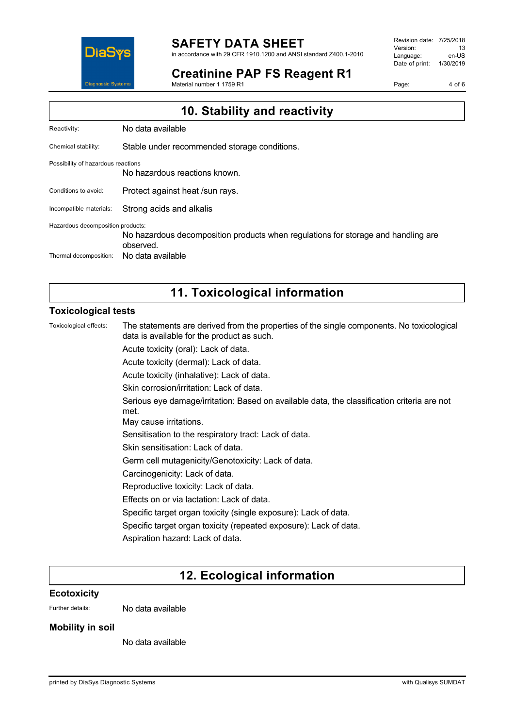

## **SAFETY DATA SHEET**

in accordance with 29 CFR 1910.1200 and ANSI standard Z400.1-2010

### **Creatinine PAP FS Reagent R1**

Material number 1 1759 R1

Revision date: 7/25/2018 Version: 13<br>Language: en-LIS Language: Date of print: 1/30/2019

Page: 4 of 6

| 10. Stability and reactivity                                |                                                                                                                     |
|-------------------------------------------------------------|---------------------------------------------------------------------------------------------------------------------|
| Reactivity:                                                 | No data available                                                                                                   |
| Chemical stability:                                         | Stable under recommended storage conditions.                                                                        |
| Possibility of hazardous reactions                          | No hazardous reactions known.                                                                                       |
| Conditions to avoid:                                        | Protect against heat /sun rays.                                                                                     |
| Incompatible materials:                                     | Strong acids and alkalis                                                                                            |
| Hazardous decomposition products:<br>Thermal decomposition: | No hazardous decomposition products when regulations for storage and handling are<br>observed.<br>No data available |
|                                                             |                                                                                                                     |

## **11. Toxicological information**

### **Toxicological tests**

Toxicological effects: The statements are derived from the properties of the single components. No toxicological data is available for the product as such.

Acute toxicity (oral): Lack of data.

Acute toxicity (dermal): Lack of data.

Acute toxicity (inhalative): Lack of data.

Skin corrosion/irritation: Lack of data.

Serious eye damage/irritation: Based on available data, the classification criteria are not met.

May cause irritations.

Sensitisation to the respiratory tract: Lack of data.

Skin sensitisation: Lack of data.

Germ cell mutagenicity/Genotoxicity: Lack of data.

Carcinogenicity: Lack of data.

Reproductive toxicity: Lack of data.

Effects on or via lactation: Lack of data.

Specific target organ toxicity (single exposure): Lack of data.

Specific target organ toxicity (repeated exposure): Lack of data.

Aspiration hazard: Lack of data.

# **12. Ecological information**

#### **Ecotoxicity**

Further details: No data available

### **Mobility in soil**

No data available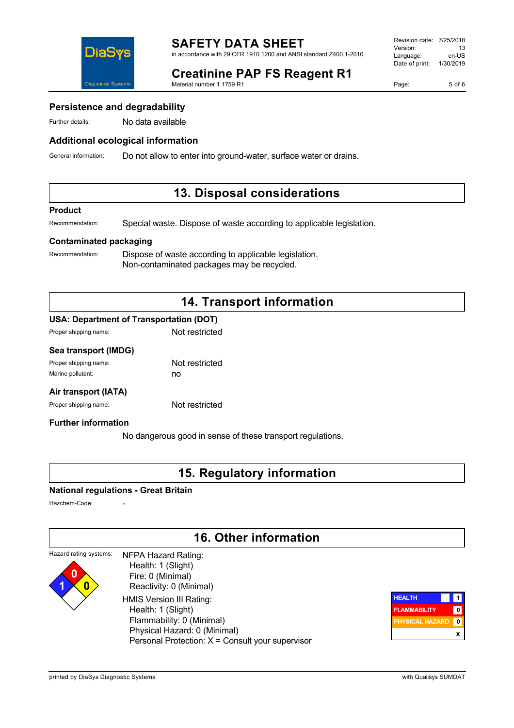

# **Creatinine PAP FS Reagent R1**

Material number 1 1759 R1

Page: 5 of 6

### **Persistence and degradability**

Further details: No data available

### **Additional ecological information**

General information: Do not allow to enter into ground-water, surface water or drains.

### **13. Disposal considerations**

#### **Product**

Recommendation: Special waste. Dispose of waste according to applicable legislation.

### **Contaminated packaging**

Recommendation: Dispose of waste according to applicable legislation. Non-contaminated packages may be recycled.

## **14. Transport information**

### **USA: Department of Transportation (DOT)**

| Proper shipping name: | Not restricted |
|-----------------------|----------------|
|                       |                |

### **Sea transport (IMDG)**

| Proper shipping name: | Not restricted |
|-----------------------|----------------|
| Marine pollutant:     | no             |

### **Air transport (IATA)**

Proper shipping name: Not restricted

### **Further information**

No dangerous good in sense of these transport regulations.

### **15. Regulatory information**

### **National regulations - Great Britain**

Hazchem-Code:

**1 0**

## **16. Other information**

#### Hazard rating systems: **0** NFPA Hazard Rating: Health: 1 (Slight)

 Fire: 0 (Minimal) Reactivity: 0 (Minimal) HMIS Version III Rating: Health: 1 (Slight) Flammability: 0 (Minimal) Physical Hazard: 0 (Minimal) Personal Protection: X = Consult your supervisor